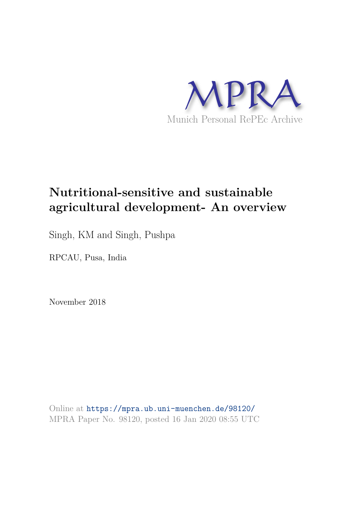

# **Nutritional-sensitive and sustainable agricultural development- An overview**

Singh, KM and Singh, Pushpa

RPCAU, Pusa, India

November 2018

Online at https://mpra.ub.uni-muenchen.de/98120/ MPRA Paper No. 98120, posted 16 Jan 2020 08:55 UTC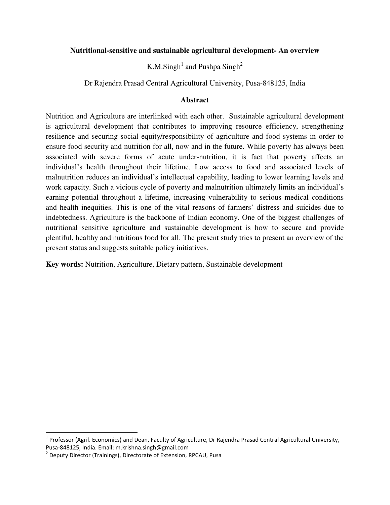# **Nutritional-sensitive and sustainable agricultural development- An overview**

K.M.Singh<sup>1</sup> and Pushpa Singh<sup>2</sup>

Dr Rajendra Prasad Central Agricultural University, Pusa-848125, India

# **Abstract**

Nutrition and Agriculture are interlinked with each other. Sustainable agricultural development is agricultural development that contributes to improving resource efficiency, strengthening resilience and securing social equity/responsibility of agriculture and food systems in order to ensure food security and nutrition for all, now and in the future. While poverty has always been associated with severe forms of acute under-nutrition, it is fact that poverty affects an individual's health throughout their lifetime. Low access to food and associated levels of malnutrition reduces an individual's intellectual capability, leading to lower learning levels and work capacity. Such a vicious cycle of poverty and malnutrition ultimately limits an individual's earning potential throughout a lifetime, increasing vulnerability to serious medical conditions and health inequities. This is one of the vital reasons of farmers' distress and suicides due to indebtedness. Agriculture is the backbone of Indian economy. One of the biggest challenges of nutritional sensitive agriculture and sustainable development is how to secure and provide plentiful, healthy and nutritious food for all. The present study tries to present an overview of the present status and suggests suitable policy initiatives.

**Key words:** Nutrition, Agriculture, Dietary pattern, Sustainable development

l

<sup>&</sup>lt;sup>1</sup> Professor (Agril. Economics) and Dean, Faculty of Agriculture, Dr Rajendra Prasad Central Agricultural University, Pusa-848125, India. Email: m.krishna.singh@gmail.com

<sup>&</sup>lt;sup>2</sup> Deputy Director (Trainings), Directorate of Extension, RPCAU, Pusa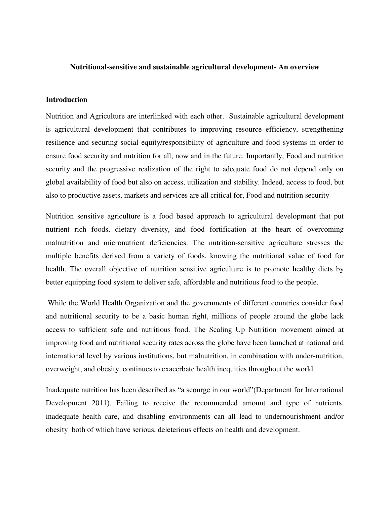### **Nutritional-sensitive and sustainable agricultural development- An overview**

### **Introduction**

Nutrition and Agriculture are interlinked with each other. Sustainable agricultural development is agricultural development that contributes to improving resource efficiency, strengthening resilience and securing social equity/responsibility of agriculture and food systems in order to ensure food security and nutrition for all, now and in the future. Importantly, Food and nutrition security and the progressive realization of the right to adequate food do not depend only on global availability of food but also on access, utilization and stability. Indeed*,* access to food, but also to productive assets, markets and services are all critical for, Food and nutrition security

Nutrition sensitive agriculture is a food based approach to agricultural development that put nutrient rich foods, dietary diversity, and food fortification at the heart of overcoming malnutrition and micronutrient deficiencies. The nutrition-sensitive agriculture stresses the multiple benefits derived from a variety of foods, knowing the nutritional value of food for health. The overall objective of nutrition sensitive agriculture is to promote healthy diets by better equipping food system to deliver safe, affordable and nutritious food to the people.

 While the World Health Organization and the governments of different countries consider food and nutritional security to be a basic human right, millions of people around the globe lack access to sufficient safe and nutritious food. The Scaling Up Nutrition movement aimed at improving food and nutritional security rates across the globe have been launched at national and international level by various institutions, but malnutrition, in combination with under-nutrition, overweight, and obesity, continues to exacerbate health inequities throughout the world.

Inadequate nutrition has been described as "a scourge in our world"(Department for International Development 2011). Failing to receive the recommended amount and type of nutrients, inadequate health care, and disabling environments can all lead to undernourishment and/or obesity both of which have serious, deleterious effects on health and development.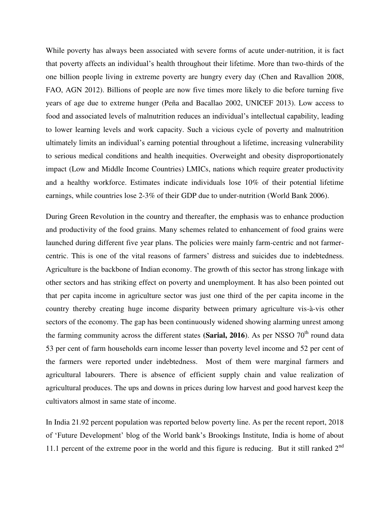While poverty has always been associated with severe forms of acute under-nutrition, it is fact that poverty affects an individual's health throughout their lifetime. More than two-thirds of the one billion people living in extreme poverty are hungry every day (Chen and Ravallion 2008, FAO, AGN 2012). Billions of people are now five times more likely to die before turning five years of age due to extreme hunger (Peña and Bacallao 2002, UNICEF 2013). Low access to food and associated levels of malnutrition reduces an individual's intellectual capability, leading to lower learning levels and work capacity. Such a vicious cycle of poverty and malnutrition ultimately limits an individual's earning potential throughout a lifetime, increasing vulnerability to serious medical conditions and health inequities. Overweight and obesity disproportionately impact (Low and Middle Income Countries) LMICs, nations which require greater productivity and a healthy workforce. Estimates indicate individuals lose 10% of their potential lifetime earnings, while countries lose 2-3% of their GDP due to under-nutrition (World Bank 2006).

During Green Revolution in the country and thereafter, the emphasis was to enhance production and productivity of the food grains. Many schemes related to enhancement of food grains were launched during different five year plans. The policies were mainly farm-centric and not farmercentric. This is one of the vital reasons of farmers' distress and suicides due to indebtedness. Agriculture is the backbone of Indian economy. The growth of this sector has strong linkage with other sectors and has striking effect on poverty and unemployment. It has also been pointed out that per capita income in agriculture sector was just one third of the per capita income in the country thereby creating huge income disparity between primary agriculture vis-à-vis other sectors of the economy. The gap has been continuously widened showing alarming unrest among the farming community across the different states (Sarial, 2016). As per NSSO 70<sup>th</sup> round data 53 per cent of farm households earn income lesser than poverty level income and 52 per cent of the farmers were reported under indebtedness. Most of them were marginal farmers and agricultural labourers. There is absence of efficient supply chain and value realization of agricultural produces. The ups and downs in prices during low harvest and good harvest keep the cultivators almost in same state of income.

In India 21.92 percent population was reported below poverty line. As per the recent report, 2018 of 'Future Development' blog of the World bank's Brookings Institute, India is home of about 11.1 percent of the extreme poor in the world and this figure is reducing. But it still ranked  $2<sup>nd</sup>$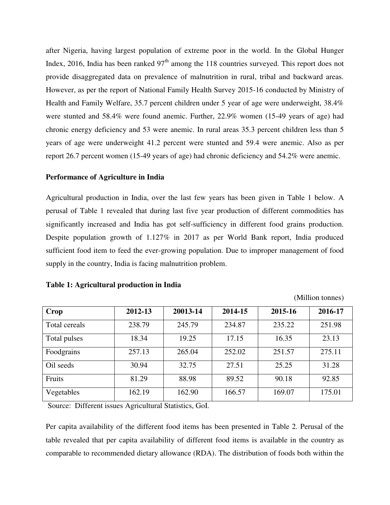after Nigeria, having largest population of extreme poor in the world. In the Global Hunger Index, 2016, India has been ranked  $97<sup>th</sup>$  among the 118 countries surveyed. This report does not provide disaggregated data on prevalence of malnutrition in rural, tribal and backward areas. However, as per the report of National Family Health Survey 2015-16 conducted by Ministry of Health and Family Welfare, 35.7 percent children under 5 year of age were underweight, 38.4% were stunted and 58.4% were found anemic. Further, 22.9% women (15-49 years of age) had chronic energy deficiency and 53 were anemic. In rural areas 35.3 percent children less than 5 years of age were underweight 41.2 percent were stunted and 59.4 were anemic. Also as per report 26.7 percent women (15-49 years of age) had chronic deficiency and 54.2% were anemic.

## **Performance of Agriculture in India**

Agricultural production in India, over the last few years has been given in Table 1 below. A perusal of Table 1 revealed that during last five year production of different commodities has significantly increased and India has got self-sufficiency in different food grains production. Despite population growth of 1.127% in 2017 as per World Bank report, India produced sufficient food item to feed the ever-growing population. Due to improper management of food supply in the country, India is facing malnutrition problem.

| Crop          | 2012-13 | 20013-14 | 2014-15 | 2015-16 | 2016-17 |
|---------------|---------|----------|---------|---------|---------|
| Total cereals | 238.79  | 245.79   | 234.87  | 235.22  | 251.98  |
| Total pulses  | 18.34   | 19.25    | 17.15   | 16.35   | 23.13   |
| Foodgrains    | 257.13  | 265.04   | 252.02  | 251.57  | 275.11  |
| Oil seeds     | 30.94   | 32.75    | 27.51   | 25.25   | 31.28   |
| Fruits        | 81.29   | 88.98    | 89.52   | 90.18   | 92.85   |
| Vegetables    | 162.19  | 162.90   | 166.57  | 169.07  | 175.01  |

## **Table 1: Agricultural production in India**

(Million tonnes)

Source: Different issues Agricultural Statistics, GoI.

Per capita availability of the different food items has been presented in Table 2. Perusal of the table revealed that per capita availability of different food items is available in the country as comparable to recommended dietary allowance (RDA). The distribution of foods both within the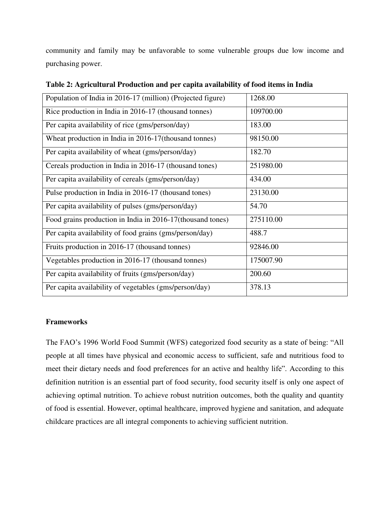community and family may be unfavorable to some vulnerable groups due low income and purchasing power.

| Population of India in 2016-17 (million) (Projected figure) | 1268.00   |
|-------------------------------------------------------------|-----------|
| Rice production in India in 2016-17 (thousand tonnes)       | 109700.00 |
| Per capita availability of rice (gms/person/day)            | 183.00    |
| Wheat production in India in 2016-17(thousand tonnes)       | 98150.00  |
| Per capita availability of wheat (gms/person/day)           | 182.70    |
| Cereals production in India in 2016-17 (thousand tones)     | 251980.00 |
| Per capita availability of cereals (gms/person/day)         | 434.00    |
| Pulse production in India in 2016-17 (thousand tones)       | 23130.00  |
| Per capita availability of pulses (gms/person/day)          | 54.70     |
| Food grains production in India in 2016-17 (thousand tones) | 275110.00 |
| Per capita availability of food grains (gms/person/day)     | 488.7     |
| Fruits production in 2016-17 (thousand tonnes)              | 92846.00  |
| Vegetables production in 2016-17 (thousand tonnes)          | 175007.90 |
| Per capita availability of fruits (gms/person/day)          | 200.60    |
| Per capita availability of vegetables (gms/person/day)      | 378.13    |

**Table 2: Agricultural Production and per capita availability of food items in India** 

# **Frameworks**

The FAO's 1996 World Food Summit (WFS) categorized food security as a state of being: "All people at all times have physical and economic access to sufficient, safe and nutritious food to meet their dietary needs and food preferences for an active and healthy life". According to this definition nutrition is an essential part of food security, food security itself is only one aspect of achieving optimal nutrition. To achieve robust nutrition outcomes, both the quality and quantity of food is essential. However, optimal healthcare, improved hygiene and sanitation, and adequate childcare practices are all integral components to achieving sufficient nutrition.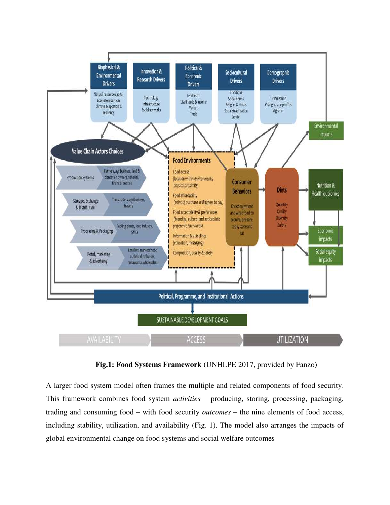

**Fig.1: Food Systems Framework** (UNHLPE 2017, provided by Fanzo)

A larger food system model often frames the multiple and related components of food security. This framework combines food system *activities* – producing, storing, processing, packaging, trading and consuming food – with food security *outcomes* – the nine elements of food access, including stability, utilization, and availability (Fig. 1). The model also arranges the impacts of global environmental change on food systems and social welfare outcomes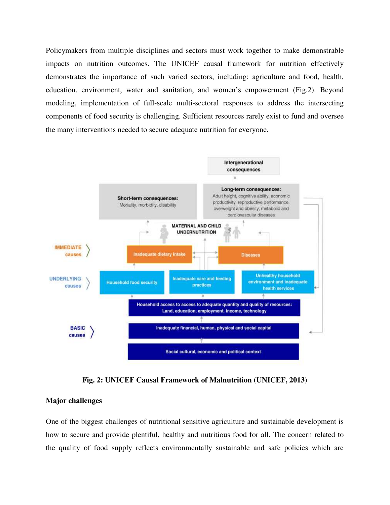Policymakers from multiple disciplines and sectors must work together to make demonstrable impacts on nutrition outcomes. The UNICEF causal framework for nutrition effectively demonstrates the importance of such varied sectors, including: agriculture and food, health, education, environment, water and sanitation, and women's empowerment (Fig.2). Beyond modeling, implementation of full-scale multi-sectoral responses to address the intersecting components of food security is challenging. Sufficient resources rarely exist to fund and oversee the many interventions needed to secure adequate nutrition for everyone.



**Fig. 2: UNICEF Causal Framework of Malnutrition (UNICEF, 2013)** 

# **Major challenges**

One of the biggest challenges of nutritional sensitive agriculture and sustainable development is how to secure and provide plentiful, healthy and nutritious food for all. The concern related to the quality of food supply reflects environmentally sustainable and safe policies which are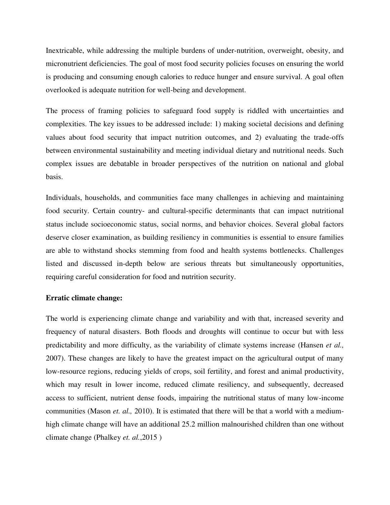Inextricable, while addressing the multiple burdens of under-nutrition, overweight, obesity, and micronutrient deficiencies. The goal of most food security policies focuses on ensuring the world is producing and consuming enough calories to reduce hunger and ensure survival. A goal often overlooked is adequate nutrition for well-being and development.

The process of framing policies to safeguard food supply is riddled with uncertainties and complexities. The key issues to be addressed include: 1) making societal decisions and defining values about food security that impact nutrition outcomes, and 2) evaluating the trade-offs between environmental sustainability and meeting individual dietary and nutritional needs. Such complex issues are debatable in broader perspectives of the nutrition on national and global basis.

Individuals, households, and communities face many challenges in achieving and maintaining food security. Certain country- and cultural-specific determinants that can impact nutritional status include socioeconomic status, social norms, and behavior choices. Several global factors deserve closer examination, as building resiliency in communities is essential to ensure families are able to withstand shocks stemming from food and health systems bottlenecks. Challenges listed and discussed in-depth below are serious threats but simultaneously opportunities, requiring careful consideration for food and nutrition security.

## **Erratic climate change:**

The world is experiencing climate change and variability and with that, increased severity and frequency of natural disasters. Both floods and droughts will continue to occur but with less predictability and more difficulty, as the variability of climate systems increase (Hansen *et al.,*  2007). These changes are likely to have the greatest impact on the agricultural output of many low-resource regions, reducing yields of crops, soil fertility, and forest and animal productivity, which may result in lower income, reduced climate resiliency, and subsequently, decreased access to sufficient, nutrient dense foods, impairing the nutritional status of many low-income communities (Mason *et. al.,* 2010). It is estimated that there will be that a world with a mediumhigh climate change will have an additional 25.2 million malnourished children than one without climate change (Phalkey *et. al.*,2015 )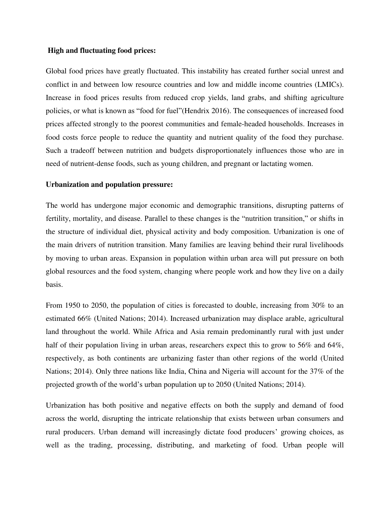## **High and fluctuating food prices:**

Global food prices have greatly fluctuated. This instability has created further social unrest and conflict in and between low resource countries and low and middle income countries (LMICs). Increase in food prices results from reduced crop yields, land grabs, and shifting agriculture policies, or what is known as "food for fuel"(Hendrix 2016). The consequences of increased food prices affected strongly to the poorest communities and female-headed households. Increases in food costs force people to reduce the quantity and nutrient quality of the food they purchase. Such a tradeoff between nutrition and budgets disproportionately influences those who are in need of nutrient-dense foods, such as young children, and pregnant or lactating women.

### **Urbanization and population pressure:**

The world has undergone major economic and demographic transitions, disrupting patterns of fertility, mortality, and disease. Parallel to these changes is the "nutrition transition," or shifts in the structure of individual diet, physical activity and body composition. Urbanization is one of the main drivers of nutrition transition. Many families are leaving behind their rural livelihoods by moving to urban areas. Expansion in population within urban area will put pressure on both global resources and the food system, changing where people work and how they live on a daily basis.

From 1950 to 2050, the population of cities is forecasted to double, increasing from 30% to an estimated 66% (United Nations; 2014). Increased urbanization may displace arable, agricultural land throughout the world. While Africa and Asia remain predominantly rural with just under half of their population living in urban areas, researchers expect this to grow to 56% and 64%, respectively, as both continents are urbanizing faster than other regions of the world (United Nations; 2014). Only three nations like India, China and Nigeria will account for the 37% of the projected growth of the world's urban population up to 2050 (United Nations; 2014).

Urbanization has both positive and negative effects on both the supply and demand of food across the world, disrupting the intricate relationship that exists between urban consumers and rural producers. Urban demand will increasingly dictate food producers' growing choices, as well as the trading, processing, distributing, and marketing of food. Urban people will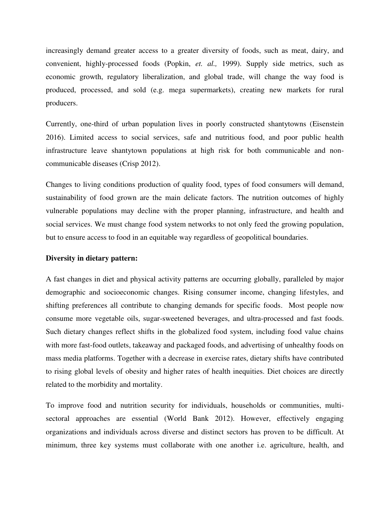increasingly demand greater access to a greater diversity of foods, such as meat, dairy, and convenient, highly-processed foods (Popkin, *et. al.,* 1999). Supply side metrics, such as economic growth, regulatory liberalization, and global trade, will change the way food is produced, processed, and sold (e.g. mega supermarkets), creating new markets for rural producers.

Currently, one-third of urban population lives in poorly constructed shantytowns (Eisenstein 2016). Limited access to social services, safe and nutritious food, and poor public health infrastructure leave shantytown populations at high risk for both communicable and noncommunicable diseases (Crisp 2012).

Changes to living conditions production of quality food, types of food consumers will demand, sustainability of food grown are the main delicate factors. The nutrition outcomes of highly vulnerable populations may decline with the proper planning, infrastructure, and health and social services. We must change food system networks to not only feed the growing population, but to ensure access to food in an equitable way regardless of geopolitical boundaries.

### **Diversity in dietary pattern:**

A fast changes in diet and physical activity patterns are occurring globally, paralleled by major demographic and socioeconomic changes. Rising consumer income, changing lifestyles, and shifting preferences all contribute to changing demands for specific foods. Most people now consume more vegetable oils, sugar-sweetened beverages, and ultra-processed and fast foods. Such dietary changes reflect shifts in the globalized food system, including food value chains with more fast-food outlets, takeaway and packaged foods, and advertising of unhealthy foods on mass media platforms. Together with a decrease in exercise rates, dietary shifts have contributed to rising global levels of obesity and higher rates of health inequities. Diet choices are directly related to the morbidity and mortality.

To improve food and nutrition security for individuals, households or communities, multisectoral approaches are essential (World Bank 2012). However, effectively engaging organizations and individuals across diverse and distinct sectors has proven to be difficult. At minimum, three key systems must collaborate with one another i.e. agriculture, health, and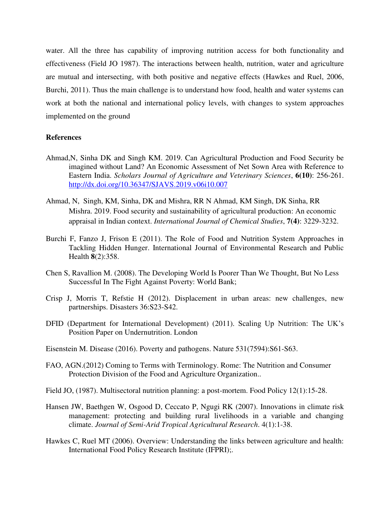water. All the three has capability of improving nutrition access for both functionality and effectiveness (Field JO 1987). The interactions between health, nutrition, water and agriculture are mutual and intersecting, with both positive and negative effects (Hawkes and Ruel, 2006, Burchi, 2011). Thus the main challenge is to understand how food, health and water systems can work at both the national and international policy levels, with changes to system approaches implemented on the ground

### **References**

- Ahmad,N, Sinha DK and Singh KM. 2019. Can Agricultural Production and Food Security be imagined without Land? An Economic Assessment of Net Sown Area with Reference to Eastern India. *Scholars Journal of Agriculture and Veterinary Sciences*, **6(10)**: 256-261. <http://dx.doi.org/10.36347/SJAVS.2019.v06i10.007>
- Ahmad, N, Singh, KM, Sinha, DK and Mishra, RR N Ahmad, KM Singh, DK Sinha, RR Mishra. 2019. Food security and sustainability of agricultural production: An economic appraisal in Indian context. *International Journal of Chemical Studies*, **7(4)**: 3229-3232.
- Burchi F, Fanzo J, Frison E (2011). The Role of Food and Nutrition System Approaches in Tackling Hidden Hunger. International Journal of Environmental Research and Public Health **8**(2):358.
- Chen S, Ravallion M. (2008). The Developing World Is Poorer Than We Thought, But No Less Successful In The Fight Against Poverty: World Bank;
- Crisp J, Morris T, Refstie H (2012). Displacement in urban areas: new challenges, new partnerships. Disasters 36:S23-S42.
- DFID (Department for International Development) (2011). Scaling Up Nutrition: The UK's Position Paper on Undernutrition. London
- Eisenstein M. Disease (2016). Poverty and pathogens. Nature 531(7594):S61-S63.
- FAO, AGN.(2012) Coming to Terms with Terminology. Rome: The Nutrition and Consumer Protection Division of the Food and Agriculture Organization..
- Field JO, (1987). Multisectoral nutrition planning: a post-mortem. Food Policy 12(1):15-28.
- Hansen JW, Baethgen W, Osgood D, Ceccato P, Ngugi RK (2007). Innovations in climate risk management: protecting and building rural livelihoods in a variable and changing climate. *Journal of Semi-Arid Tropical Agricultural Research*. 4(1):1-38.
- Hawkes C, Ruel MT (2006). Overview: Understanding the links between agriculture and health: International Food Policy Research Institute (IFPRI);.